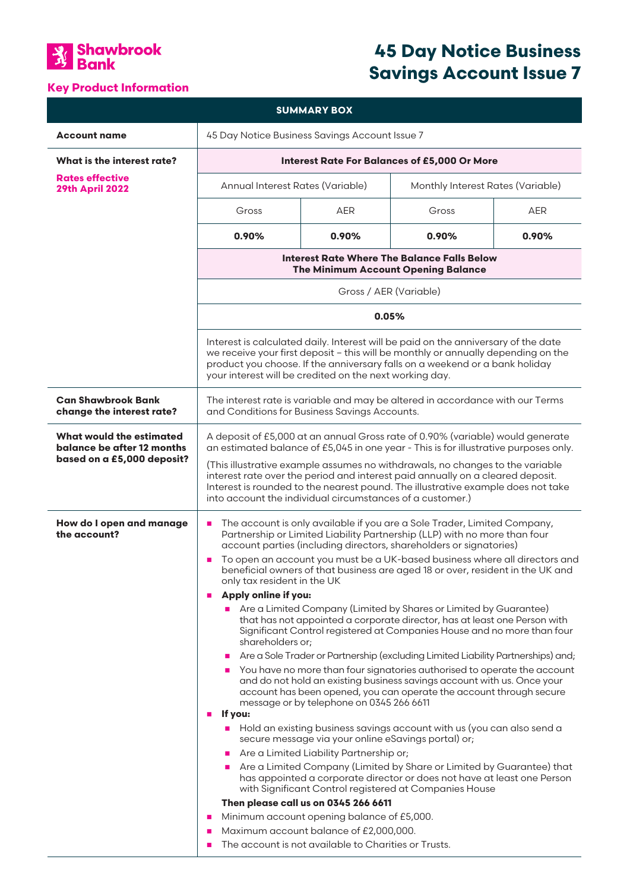

# **Key Product Information**

# **45 Day Notice Business Savings Account Issue 7**

| <b>SUMMARY BOX</b>                                                                          |                                                                                                                                                                                                                                                                                                                                                                                                                                                                                                                                                                                                                                                                                                                                                                                                                                                                                                                                                                                                                                                                                                                                                                                                                                                                                                                                                                                                                                                                                                                                                                                                                                                                                                                                                            |            |       |            |  |
|---------------------------------------------------------------------------------------------|------------------------------------------------------------------------------------------------------------------------------------------------------------------------------------------------------------------------------------------------------------------------------------------------------------------------------------------------------------------------------------------------------------------------------------------------------------------------------------------------------------------------------------------------------------------------------------------------------------------------------------------------------------------------------------------------------------------------------------------------------------------------------------------------------------------------------------------------------------------------------------------------------------------------------------------------------------------------------------------------------------------------------------------------------------------------------------------------------------------------------------------------------------------------------------------------------------------------------------------------------------------------------------------------------------------------------------------------------------------------------------------------------------------------------------------------------------------------------------------------------------------------------------------------------------------------------------------------------------------------------------------------------------------------------------------------------------------------------------------------------------|------------|-------|------------|--|
| <b>Account name</b>                                                                         | 45 Day Notice Business Savings Account Issue 7                                                                                                                                                                                                                                                                                                                                                                                                                                                                                                                                                                                                                                                                                                                                                                                                                                                                                                                                                                                                                                                                                                                                                                                                                                                                                                                                                                                                                                                                                                                                                                                                                                                                                                             |            |       |            |  |
| What is the interest rate?                                                                  | <b>Interest Rate For Balances of £5,000 Or More</b>                                                                                                                                                                                                                                                                                                                                                                                                                                                                                                                                                                                                                                                                                                                                                                                                                                                                                                                                                                                                                                                                                                                                                                                                                                                                                                                                                                                                                                                                                                                                                                                                                                                                                                        |            |       |            |  |
| <b>Rates effective</b><br><b>29th April 2022</b>                                            | Annual Interest Rates (Variable)<br>Monthly Interest Rates (Variable)                                                                                                                                                                                                                                                                                                                                                                                                                                                                                                                                                                                                                                                                                                                                                                                                                                                                                                                                                                                                                                                                                                                                                                                                                                                                                                                                                                                                                                                                                                                                                                                                                                                                                      |            |       |            |  |
|                                                                                             | Gross                                                                                                                                                                                                                                                                                                                                                                                                                                                                                                                                                                                                                                                                                                                                                                                                                                                                                                                                                                                                                                                                                                                                                                                                                                                                                                                                                                                                                                                                                                                                                                                                                                                                                                                                                      | <b>AER</b> | Gross | <b>AER</b> |  |
|                                                                                             | 0.90%                                                                                                                                                                                                                                                                                                                                                                                                                                                                                                                                                                                                                                                                                                                                                                                                                                                                                                                                                                                                                                                                                                                                                                                                                                                                                                                                                                                                                                                                                                                                                                                                                                                                                                                                                      | 0.90%      | 0.90% | 0.90%      |  |
|                                                                                             | <b>Interest Rate Where The Balance Falls Below</b><br>The Minimum Account Opening Balance                                                                                                                                                                                                                                                                                                                                                                                                                                                                                                                                                                                                                                                                                                                                                                                                                                                                                                                                                                                                                                                                                                                                                                                                                                                                                                                                                                                                                                                                                                                                                                                                                                                                  |            |       |            |  |
|                                                                                             | Gross / AER (Variable)                                                                                                                                                                                                                                                                                                                                                                                                                                                                                                                                                                                                                                                                                                                                                                                                                                                                                                                                                                                                                                                                                                                                                                                                                                                                                                                                                                                                                                                                                                                                                                                                                                                                                                                                     |            |       |            |  |
|                                                                                             | 0.05%                                                                                                                                                                                                                                                                                                                                                                                                                                                                                                                                                                                                                                                                                                                                                                                                                                                                                                                                                                                                                                                                                                                                                                                                                                                                                                                                                                                                                                                                                                                                                                                                                                                                                                                                                      |            |       |            |  |
|                                                                                             | Interest is calculated daily. Interest will be paid on the anniversary of the date<br>we receive your first deposit - this will be monthly or annually depending on the<br>product you choose. If the anniversary falls on a weekend or a bank holiday<br>your interest will be credited on the next working day.                                                                                                                                                                                                                                                                                                                                                                                                                                                                                                                                                                                                                                                                                                                                                                                                                                                                                                                                                                                                                                                                                                                                                                                                                                                                                                                                                                                                                                          |            |       |            |  |
| <b>Can Shawbrook Bank</b><br>change the interest rate?                                      | The interest rate is variable and may be altered in accordance with our Terms<br>and Conditions for Business Savings Accounts.                                                                                                                                                                                                                                                                                                                                                                                                                                                                                                                                                                                                                                                                                                                                                                                                                                                                                                                                                                                                                                                                                                                                                                                                                                                                                                                                                                                                                                                                                                                                                                                                                             |            |       |            |  |
| <b>What would the estimated</b><br>balance be after 12 months<br>based on a £5,000 deposit? | A deposit of £5,000 at an annual Gross rate of 0.90% (variable) would generate<br>an estimated balance of £5,045 in one year - This is for illustrative purposes only.<br>(This illustrative example assumes no withdrawals, no changes to the variable<br>interest rate over the period and interest paid annually on a cleared deposit.<br>Interest is rounded to the nearest pound. The illustrative example does not take<br>into account the individual circumstances of a customer.)                                                                                                                                                                                                                                                                                                                                                                                                                                                                                                                                                                                                                                                                                                                                                                                                                                                                                                                                                                                                                                                                                                                                                                                                                                                                 |            |       |            |  |
| How do I open and manage<br>the account?                                                    | The account is only available if you are a Sole Trader, Limited Company,<br>$\blacksquare$<br>Partnership or Limited Liability Partnership (LLP) with no more than four<br>account parties (including directors, shareholders or signatories)<br>To open an account you must be a UK-based business where all directors and<br>$\blacksquare$<br>beneficial owners of that business are aged 18 or over, resident in the UK and<br>only tax resident in the UK<br>Apply online if you:<br>×<br>Are a Limited Company (Limited by Shares or Limited by Guarantee)<br>that has not appointed a corporate director, has at least one Person with<br>Significant Control registered at Companies House and no more than four<br>shareholders or;<br>Are a Sole Trader or Partnership (excluding Limited Liability Partnerships) and;<br>You have no more than four signatories authorised to operate the account<br>and do not hold an existing business savings account with us. Once your<br>account has been opened, you can operate the account through secure<br>message or by telephone on 0345 266 6611<br>If you:<br>×<br>Hold an existing business savings account with us (you can also send a<br>$\mathcal{L}_{\mathcal{A}}$<br>secure message via your online eSavings portal) or;<br>Are a Limited Liability Partnership or;<br>Are a Limited Company (Limited by Share or Limited by Guarantee) that<br>has appointed a corporate director or does not have at least one Person<br>with Significant Control registered at Companies House<br>Then please call us on 0345 266 6611<br>Minimum account opening balance of £5,000.<br>п<br>Maximum account balance of £2,000,000.<br>п<br>The account is not available to Charities or Trusts.<br>п |            |       |            |  |